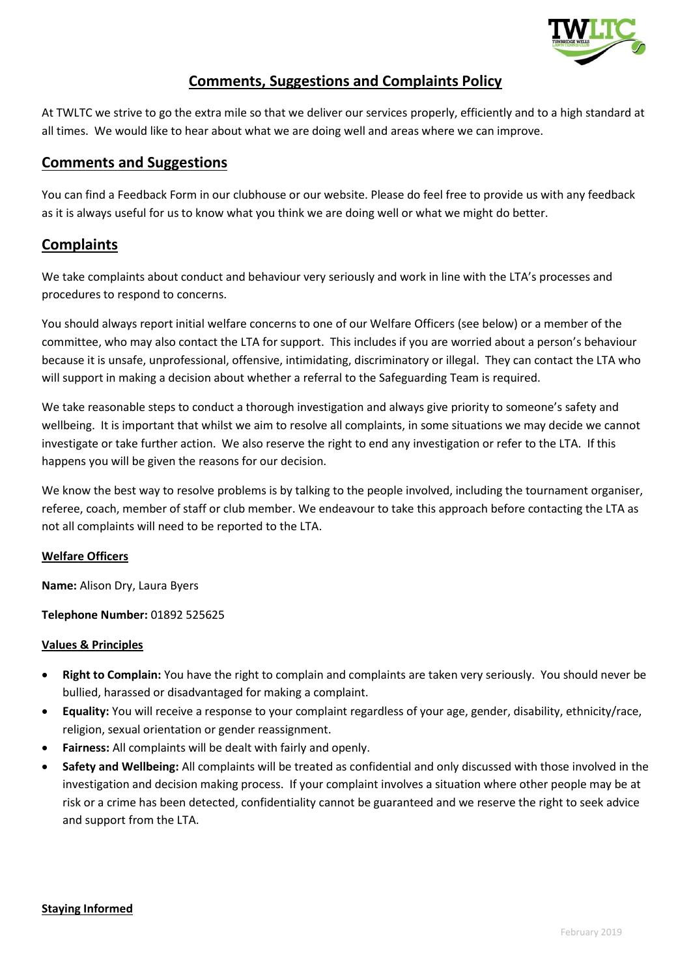

# **Comments, Suggestions and Complaints Policy**

At TWLTC we strive to go the extra mile so that we deliver our services properly, efficiently and to a high standard at all times. We would like to hear about what we are doing well and areas where we can improve.

### **Comments and Suggestions**

You can find a Feedback Form in our clubhouse or our website. Please do feel free to provide us with any feedback as it is always useful for us to know what you think we are doing well or what we might do better.

## **Complaints**

We take complaints about conduct and behaviour very seriously and work in line with the LTA's processes and procedures to respond to concerns.

You should always report initial welfare concerns to one of our Welfare Officers (see below) or a member of the committee, who may also contact the LTA for support. This includes if you are worried about a person's behaviour because it is unsafe, unprofessional, offensive, intimidating, discriminatory or illegal. They can contact the LTA who will support in making a decision about whether a referral to the Safeguarding Team is required.

We take reasonable steps to conduct a thorough investigation and always give priority to someone's safety and wellbeing. It is important that whilst we aim to resolve all complaints, in some situations we may decide we cannot investigate or take further action. We also reserve the right to end any investigation or refer to the LTA. If this happens you will be given the reasons for our decision.

We know the best way to resolve problems is by talking to the people involved, including the tournament organiser, referee, coach, member of staff or club member. We endeavour to take this approach before contacting the LTA as not all complaints will need to be reported to the LTA.

#### **Welfare Officers**

**Name:** Alison Dry, Laura Byers

**Telephone Number:** 01892 525625

#### **Values & Principles**

- **Right to Complain:** You have the right to complain and complaints are taken very seriously. You should never be bullied, harassed or disadvantaged for making a complaint.
- **Equality:** You will receive a response to your complaint regardless of your age, gender, disability, ethnicity/race, religion, sexual orientation or gender reassignment.
- **Fairness:** All complaints will be dealt with fairly and openly.
- **Safety and Wellbeing:** All complaints will be treated as confidential and only discussed with those involved in the investigation and decision making process. If your complaint involves a situation where other people may be at risk or a crime has been detected, confidentiality cannot be guaranteed and we reserve the right to seek advice and support from the LTA.